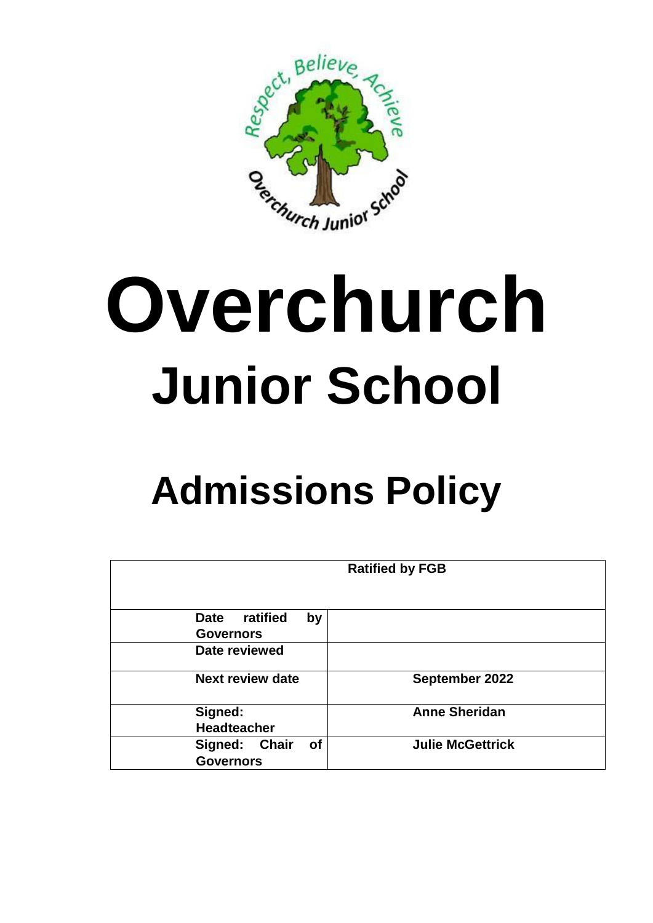

## **Overchurch Junior School**

## **Admissions Policy**

| <b>Ratified by FGB</b>                                   |                         |
|----------------------------------------------------------|-------------------------|
| ratified<br><b>Date</b><br>by<br><b>Governors</b>        |                         |
| Date reviewed                                            |                         |
| <b>Next review date</b>                                  | September 2022          |
| Signed:<br><b>Headteacher</b>                            | <b>Anne Sheridan</b>    |
| <b>of</b><br>Signed:<br><b>Chair</b><br><b>Governors</b> | <b>Julie McGettrick</b> |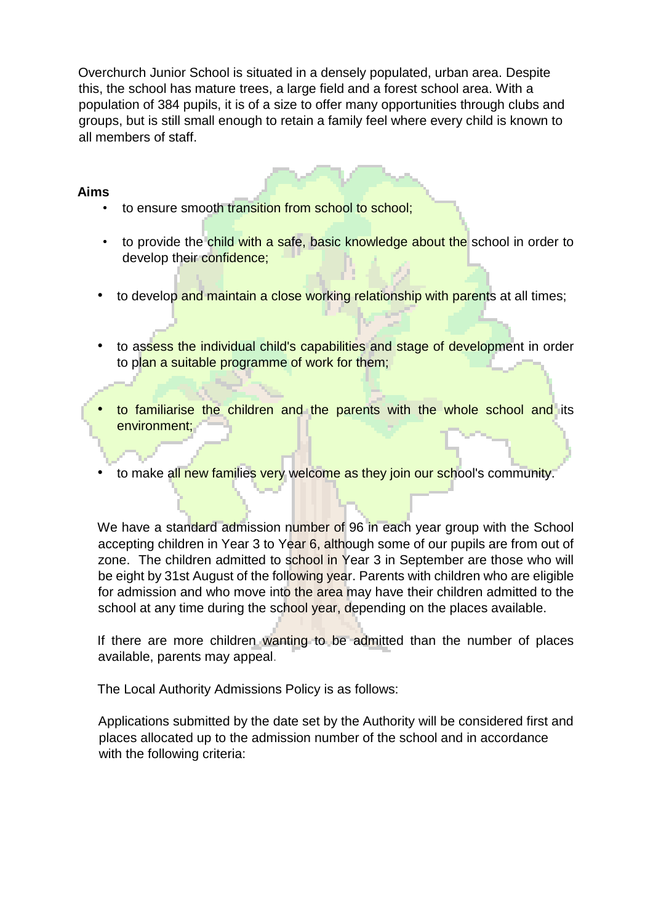Overchurch Junior School is situated in a densely populated, urban area. Despite this, the school has mature trees, a large field and a forest school area. With a population of 384 pupils, it is of a size to offer many opportunities through clubs and groups, but is still small enough to retain a family feel where every child is known to all members of staff.

## **Aims**

- to ensure smooth transition from school to school;
- to provide the child with a safe, basic knowledge about the school in order to develop their confidence;
- to develop and maintain a close working relationship with parents at all times;
- to assess the individual child's capabilities and stage of development in order to plan a suitable programme of work for them;
- to familiarise the children and the parents with the whole school and its environment;
- to make all new families very welcome as they join our school's community.

We have a standard admission number of 96 in each year group with the School accepting children in Year 3 to Year 6, although some of our pupils are from out of zone. The children admitted to school in Year 3 in September are those who will be eight by 31st August of the following year. Parents with children who are eligible for admission and who move into the area may have their children admitted to the school at any time during the school year, depending on the places available.

If there are more children wanting to be admitted than the number of places available, parents may appeal.

The Local Authority Admissions Policy is as follows:

Applications submitted by the date set by the Authority will be considered first and places allocated up to the admission number of the school and in accordance with the following criteria: